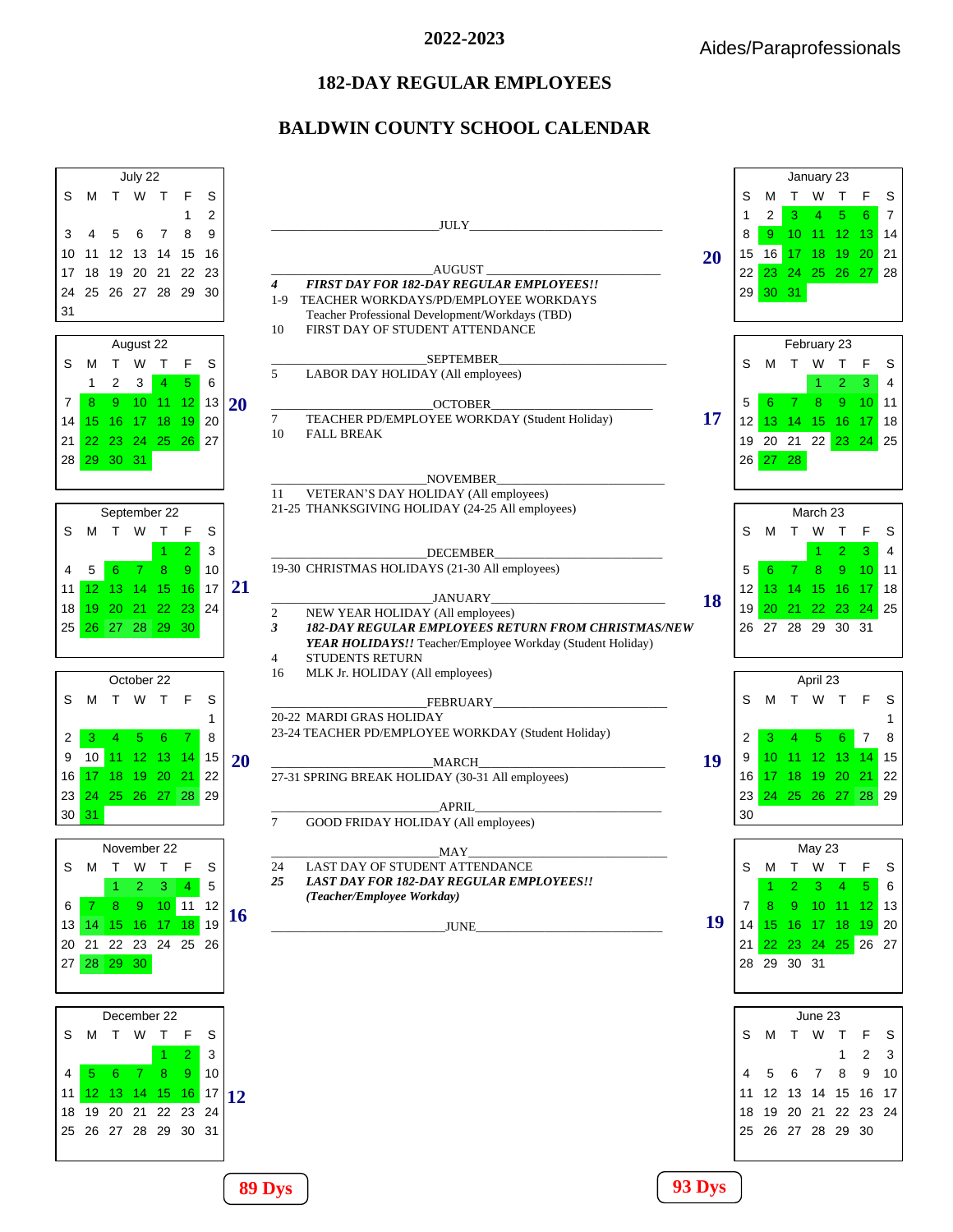## **182-DAY REGULAR EMPLOYEES**

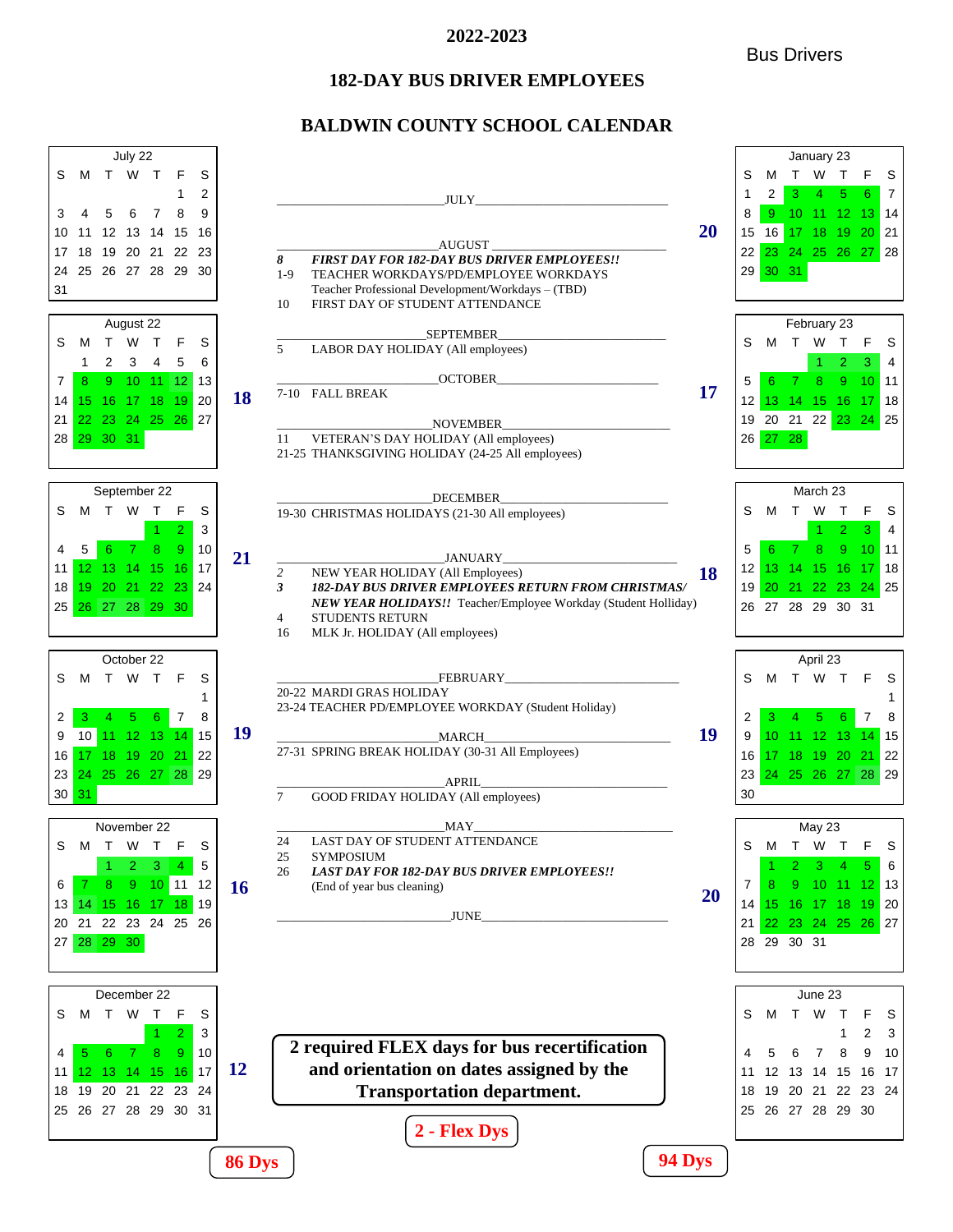#### Bus Drivers

# **182-DAY BUS DRIVER EMPLOYEES**

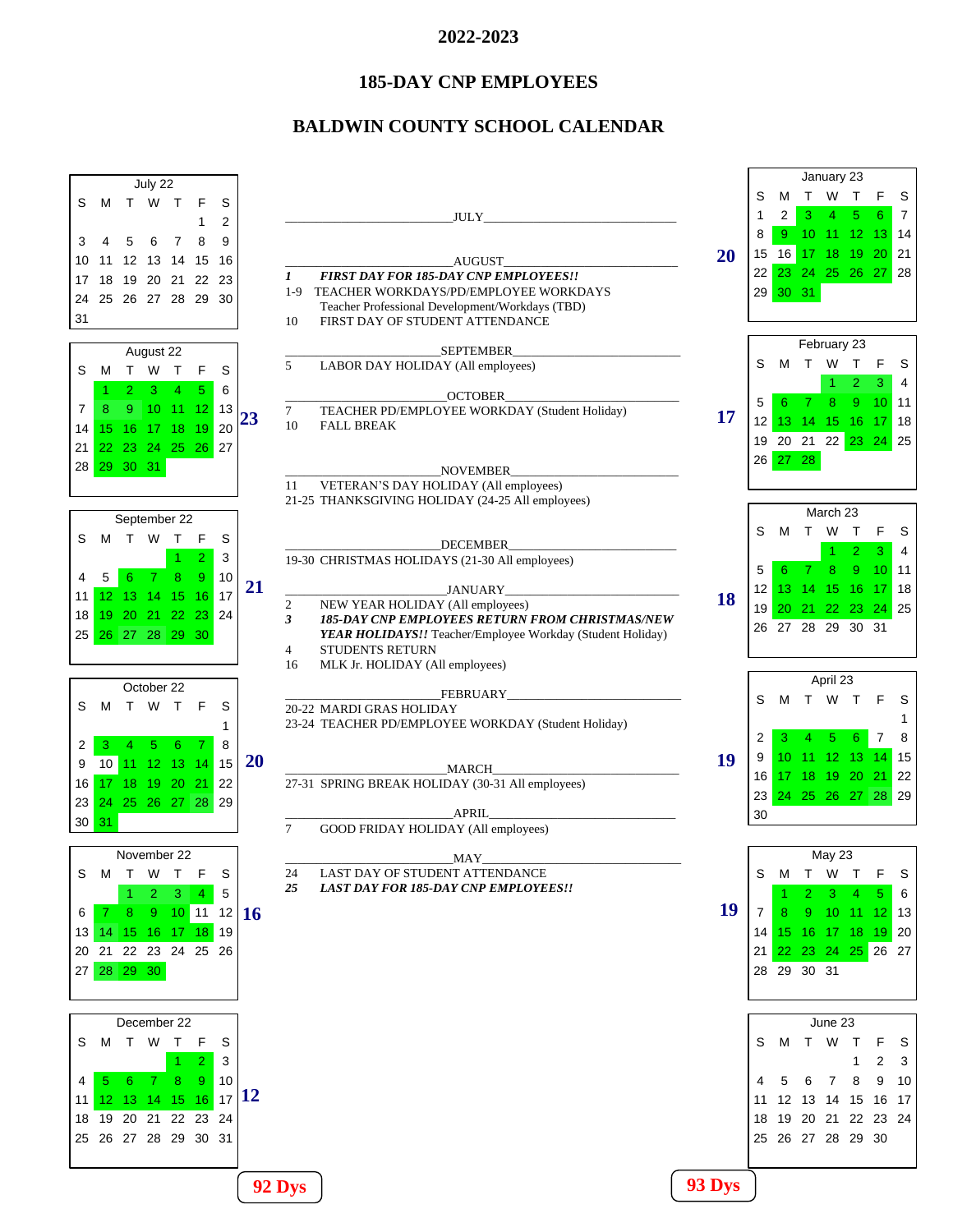# **185-DAY CNP EMPLOYEES**

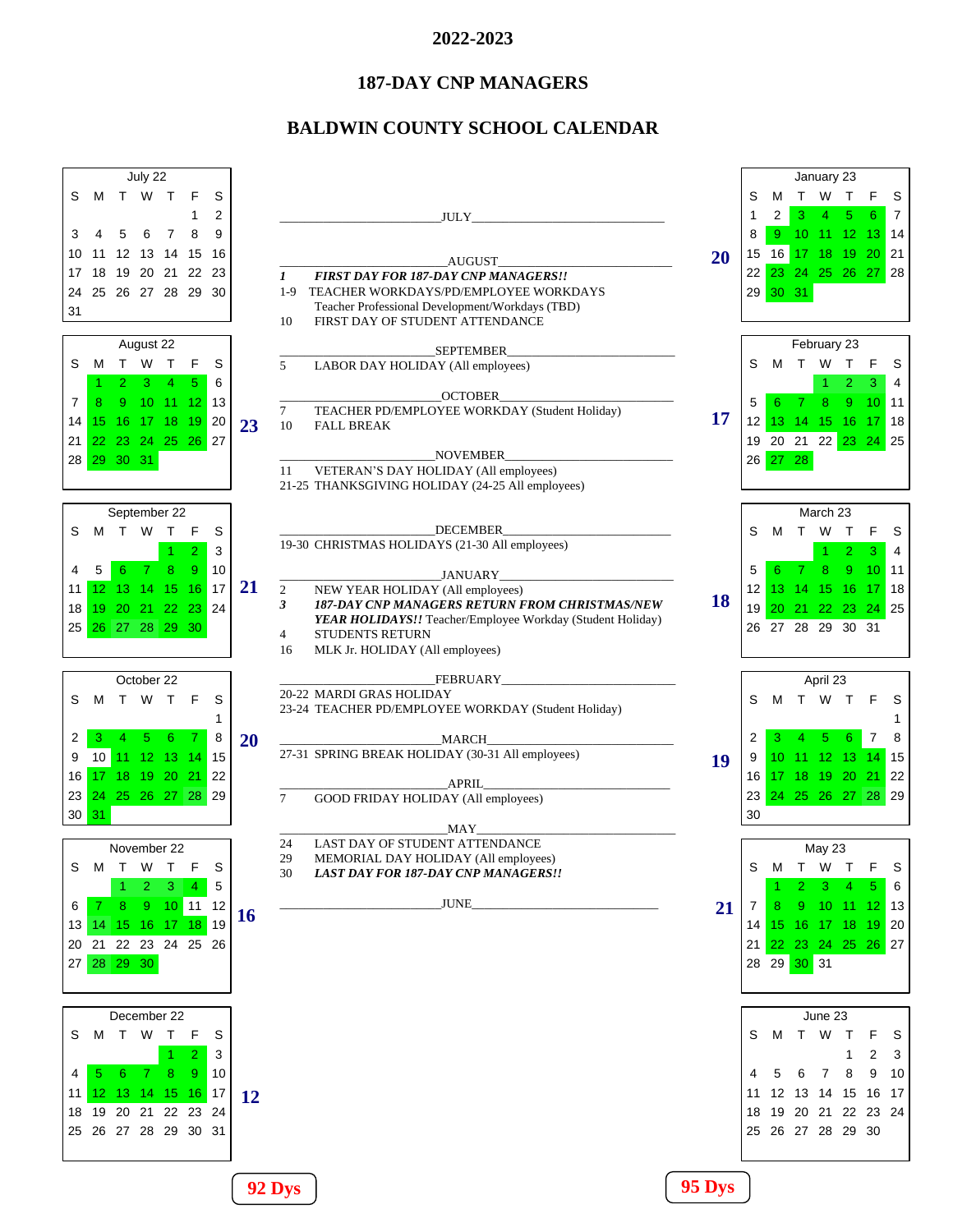## **187-DAY CNP MANAGERS**

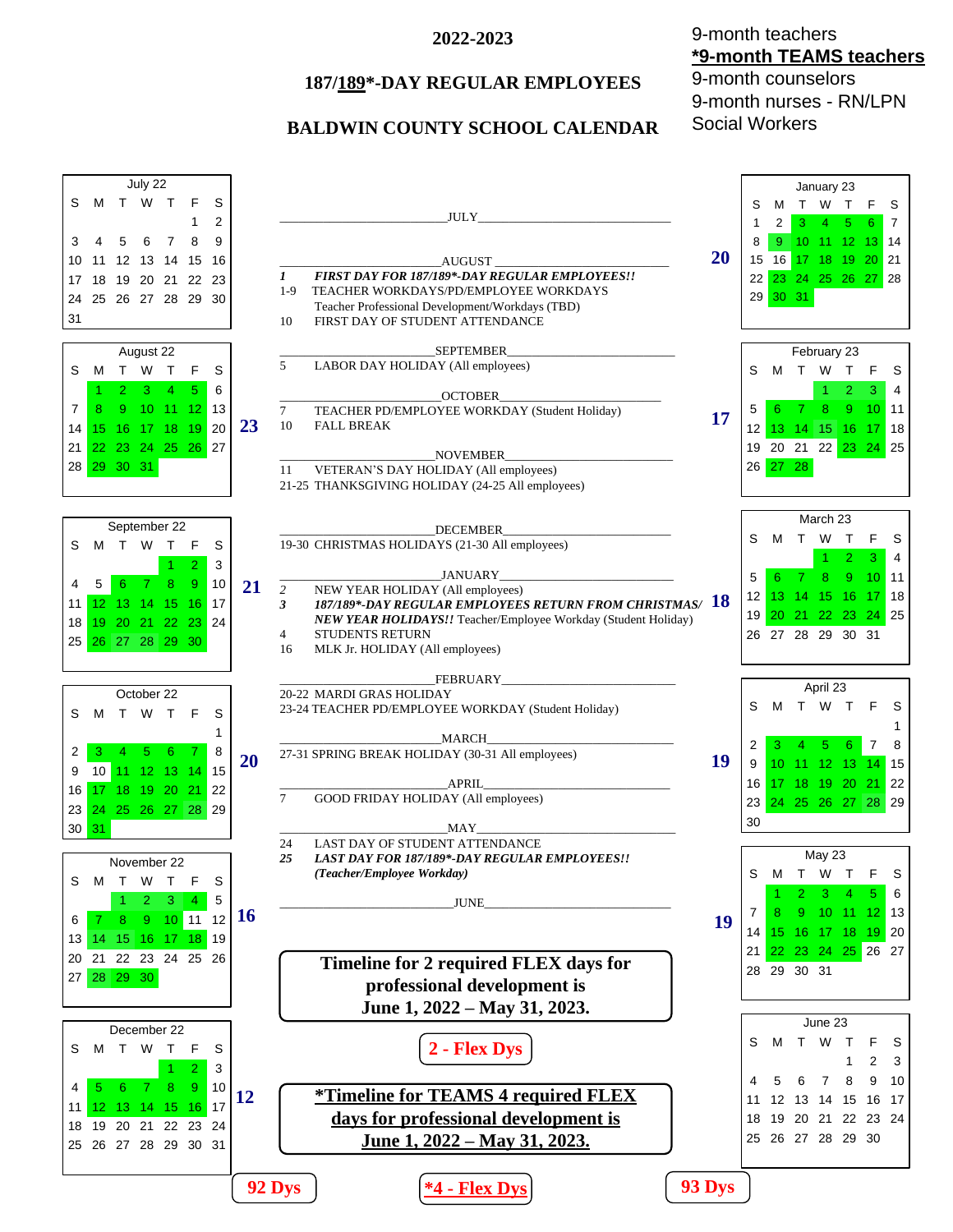## **187/189\*-DAY REGULAR EMPLOYEES**

# **BALDWIN COUNTY SCHOOL CALENDAR**

9-month teachers **\*9-month TEAMS teachers** 9-month counselors 9-month nurses - RN/LPN Social Workers

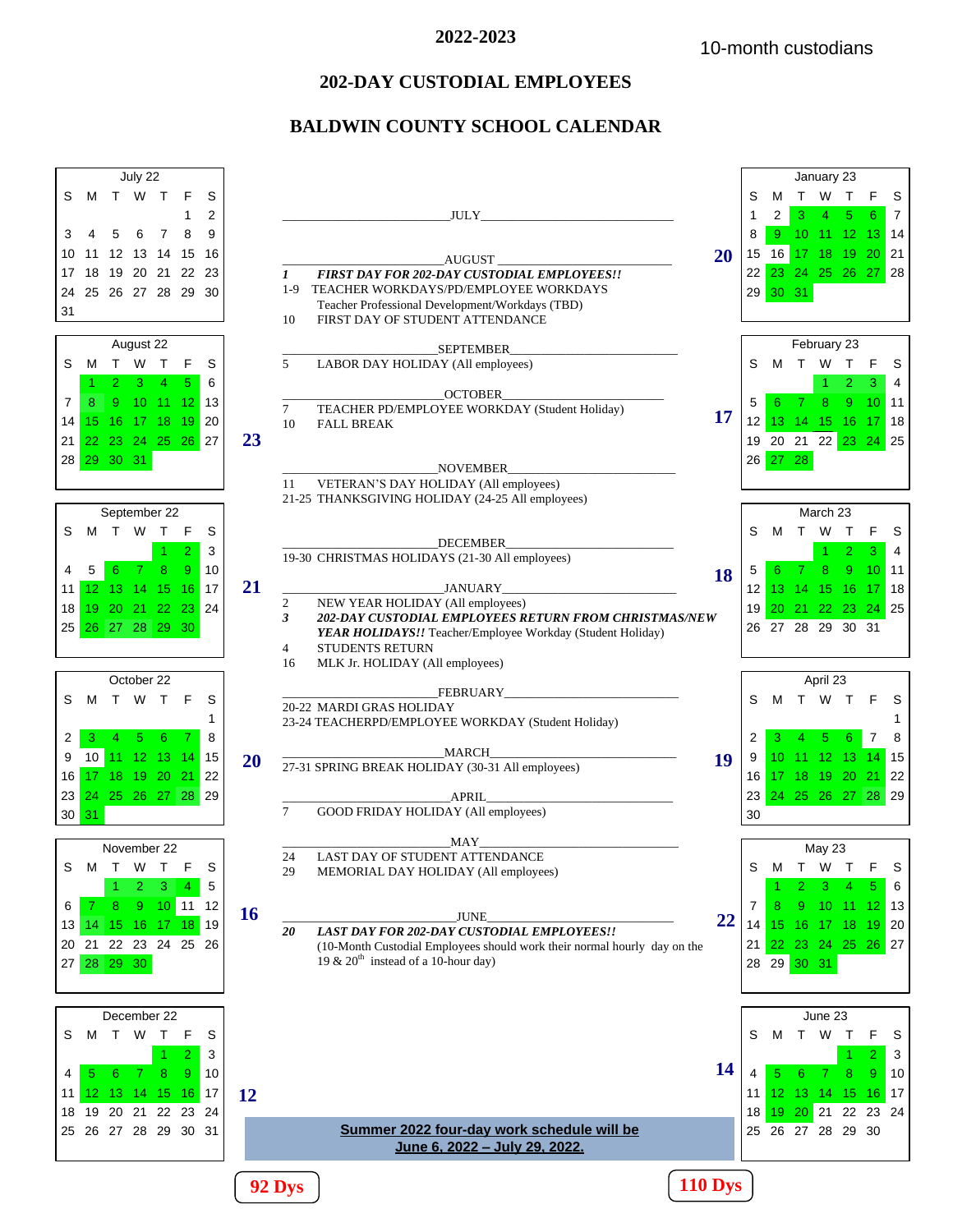# **202-DAY CUSTODIAL EMPLOYEES**

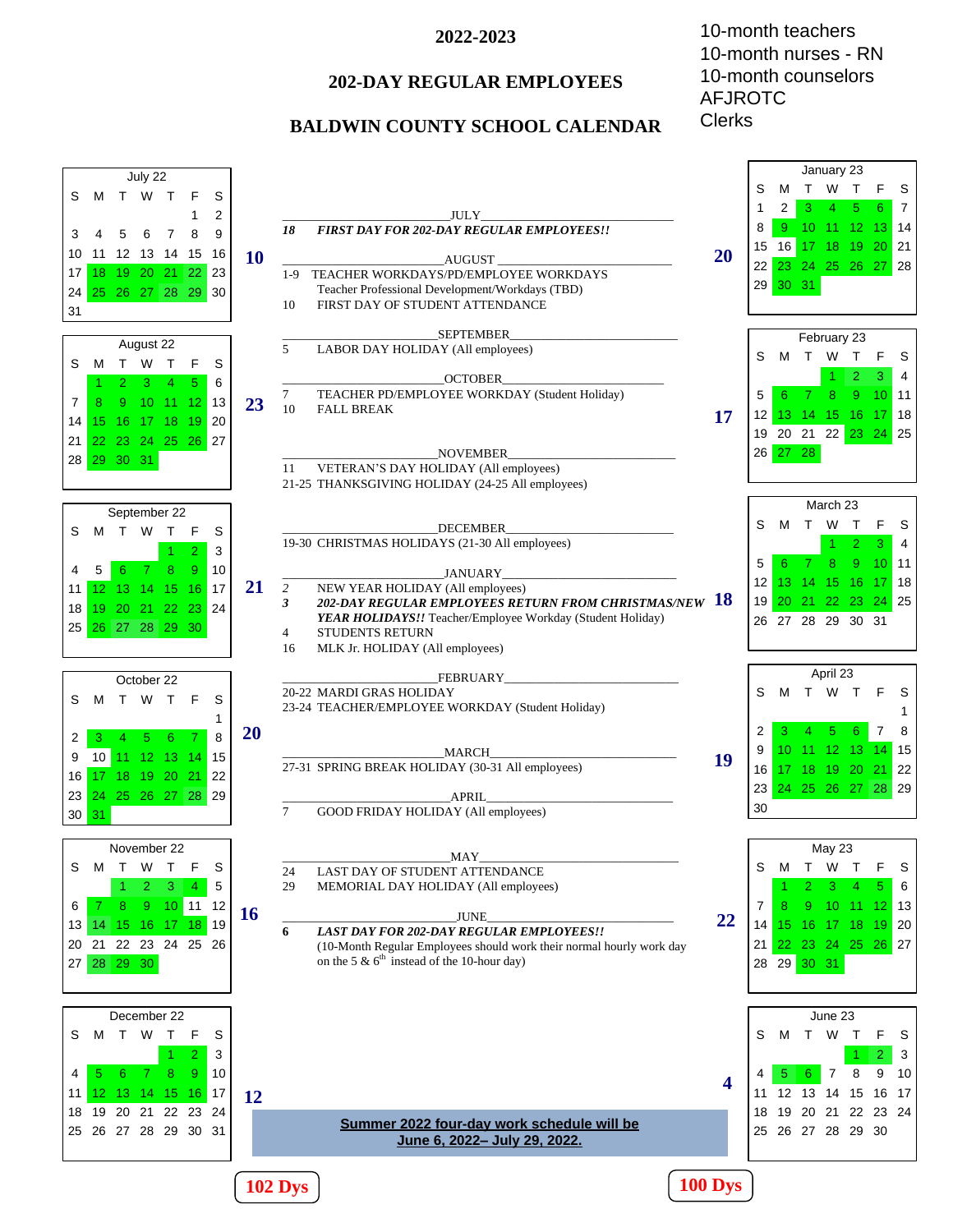# **202-DAY REGULAR EMPLOYEES**

## **BALDWIN COUNTY SCHOOL CALENDAR**

10-month teachers 10-month nurses - RN 10-month counselors AFJROTC **Clerks** 

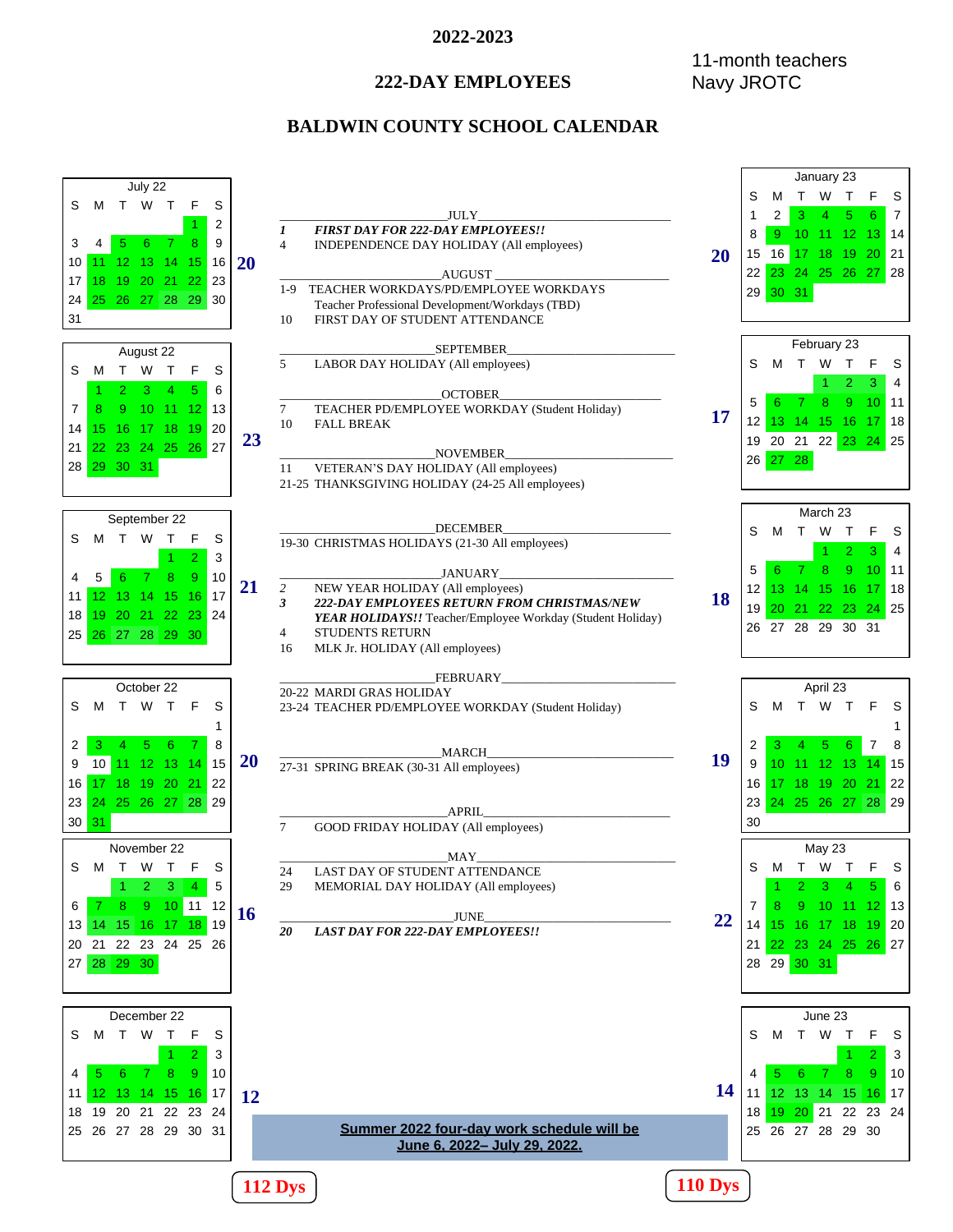# **222-DAY EMPLOYEES**

# 11-month teachers Navy JROTC